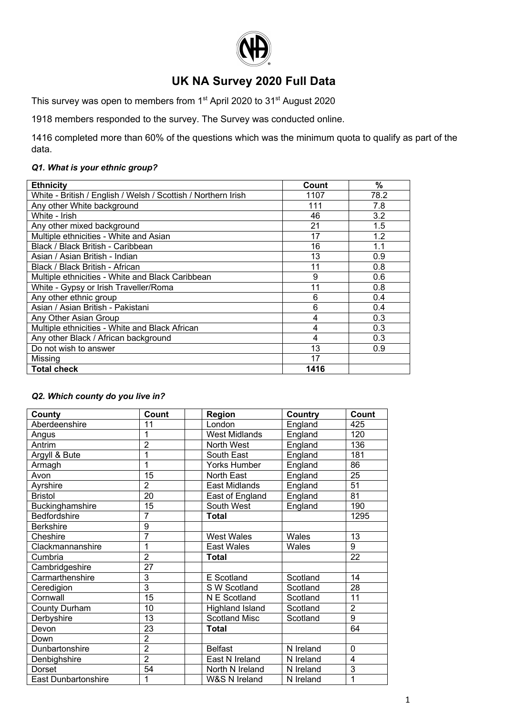

# UK NA Survey 2020 Full Data

This survey was open to members from 1<sup>st</sup> April 2020 to 31<sup>st</sup> August 2020

1918 members responded to the survey. The Survey was conducted online.

1416 completed more than 60% of the questions which was the minimum quota to qualify as part of the data.

## Q1. What is your ethnic group?

| <b>Ethnicity</b>                                              | Count | $\overline{\%}$ |
|---------------------------------------------------------------|-------|-----------------|
| White - British / English / Welsh / Scottish / Northern Irish | 1107  | 78.2            |
| Any other White background                                    | 111   | 7.8             |
| White - Irish                                                 | 46    | 3.2             |
| Any other mixed background                                    | 21    | 1.5             |
| Multiple ethnicities - White and Asian                        | 17    | 1.2             |
| Black / Black British - Caribbean                             | 16    | 1.1             |
| Asian / Asian British - Indian                                | 13    | 0.9             |
| Black / Black British - African                               | 11    | 0.8             |
| Multiple ethnicities - White and Black Caribbean              | 9     | 0.6             |
| White - Gypsy or Irish Traveller/Roma                         | 11    | 0.8             |
| Any other ethnic group                                        | 6     | 0.4             |
| Asian / Asian British - Pakistani                             | 6     | 0.4             |
| Any Other Asian Group                                         | 4     | 0.3             |
| Multiple ethnicities - White and Black African                | 4     | 0.3             |
| Any other Black / African background                          | 4     | 0.3             |
| Do not wish to answer                                         | 13    | 0.9             |
| Missing                                                       | 17    |                 |
| <b>Total check</b>                                            | 1416  |                 |

# Q2. Which county do you live in?

| County               | Count           | Region                 | <b>Country</b> | Count          |
|----------------------|-----------------|------------------------|----------------|----------------|
| Aberdeenshire        | 11              | London                 | England        | 425            |
| Angus                | 1               | <b>West Midlands</b>   | England        | 120            |
| Antrim               | $\overline{2}$  | North West             | England        | 136            |
| Argyll & Bute        | 1               | South East             | England        | 181            |
| Armagh               | 1               | <b>Yorks Humber</b>    | England        | 86             |
| Avon                 | 15              | <b>North East</b>      | England        | 25             |
| Ayrshire             | $\overline{2}$  | East Midlands          | England        | 51             |
| <b>Bristol</b>       | $\overline{20}$ | East of England        | England        | 81             |
| Buckinghamshire      | 15              | South West             | England        | 190            |
| Bedfordshire         | 7               | <b>Total</b>           |                | 1295           |
| <b>Berkshire</b>     | 9               |                        |                |                |
| Cheshire             | 7               | <b>West Wales</b>      | Wales          | 13             |
| Clackmannanshire     | 1               | <b>East Wales</b>      | Wales          | 9              |
| Cumbria              | $\overline{2}$  | <b>Total</b>           |                | 22             |
| Cambridgeshire       | $\overline{27}$ |                        |                |                |
| Carmarthenshire      | 3               | E Scotland             | Scotland       | 14             |
| Ceredigion           | $\overline{3}$  | S W Scotland           | Scotland       | 28             |
| Cornwall             | 15              | N E Scotland           | Scotland       | 11             |
| <b>County Durham</b> | 10              | <b>Highland Island</b> | Scotland       | $\overline{2}$ |
| Derbyshire           | 13              | <b>Scotland Misc</b>   | Scotland       | 9              |
| Devon                | 23              | <b>Total</b>           |                | 64             |
| Down                 | $\overline{2}$  |                        |                |                |
| Dunbartonshire       | $\overline{2}$  | <b>Belfast</b>         | N Ireland      | $\mathbf{0}$   |
| Denbighshire         | $\overline{2}$  | East N Ireland         | N Ireland      | 4              |
| <b>Dorset</b>        | 54              | North N Ireland        | N Ireland      | 3              |
| East Dunbartonshire  | 1               | W&S N Ireland          | N Ireland      | 1              |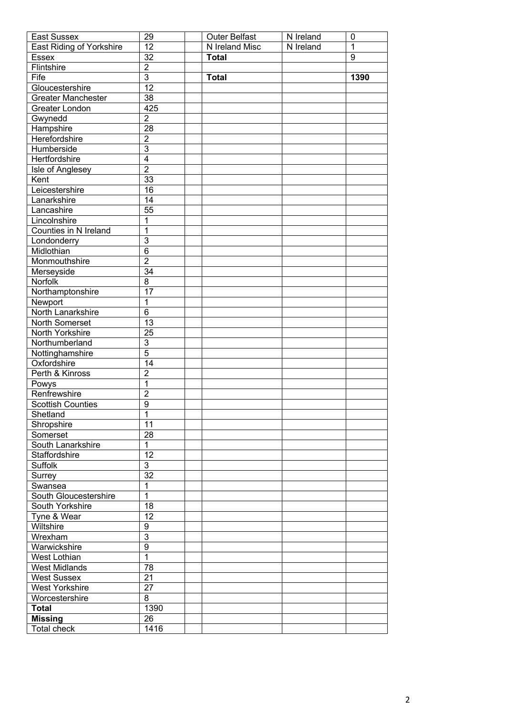| East Sussex               | 29              | <b>Outer Belfast</b> | N Ireland | $\mathbf 0$ |
|---------------------------|-----------------|----------------------|-----------|-------------|
| East Riding of Yorkshire  | 12              | N Ireland Misc       | N Ireland | $\mathbf 1$ |
| Essex                     | 32              | <b>Total</b>         |           | 9           |
| Flintshire                | $\overline{2}$  |                      |           |             |
| Fife                      | $\overline{3}$  | <b>Total</b>         |           | 1390        |
| Gloucestershire           | $\overline{12}$ |                      |           |             |
| <b>Greater Manchester</b> | 38              |                      |           |             |
| Greater London            | 425             |                      |           |             |
| Gwynedd                   | $\overline{c}$  |                      |           |             |
| Hampshire                 | 28              |                      |           |             |
| Herefordshire             | $\overline{2}$  |                      |           |             |
| Humberside                | $\overline{3}$  |                      |           |             |
| Hertfordshire             | $\overline{4}$  |                      |           |             |
| Isle of Anglesey          | $\overline{2}$  |                      |           |             |
| Kent                      | 33              |                      |           |             |
| Leicestershire            | 16              |                      |           |             |
| Lanarkshire               | 14              |                      |           |             |
| Lancashire                | 55              |                      |           |             |
| Lincolnshire              | 1               |                      |           |             |
| Counties in N Ireland     | 1               |                      |           |             |
|                           | $\overline{3}$  |                      |           |             |
| Londonderry               | $\overline{6}$  |                      |           |             |
| Midlothian                | $\overline{2}$  |                      |           |             |
| Monmouthshire             |                 |                      |           |             |
| Merseyside                | $\overline{34}$ |                      |           |             |
| Norfolk                   | $\overline{8}$  |                      |           |             |
| Northamptonshire          | $\overline{17}$ |                      |           |             |
| Newport                   | 1               |                      |           |             |
| North Lanarkshire         | $\overline{6}$  |                      |           |             |
| North Somerset            | $\overline{13}$ |                      |           |             |
| North Yorkshire           | $\overline{25}$ |                      |           |             |
| Northumberland            | $\overline{3}$  |                      |           |             |
| Nottinghamshire           | $\overline{5}$  |                      |           |             |
| Oxfordshire               | 14              |                      |           |             |
| Perth & Kinross           | $\overline{2}$  |                      |           |             |
| Powys                     | $\overline{1}$  |                      |           |             |
| Renfrewshire              | $\overline{2}$  |                      |           |             |
| Scottish Counties         | $\overline{9}$  |                      |           |             |
| Shetland                  | $\overline{1}$  |                      |           |             |
| Shropshire                | 11              |                      |           |             |
| Somerset                  | $\overline{28}$ |                      |           |             |
| South Lanarkshire         | $\mathbf{1}$    |                      |           |             |
| Staffordshire             | $\overline{12}$ |                      |           |             |
| Suffolk                   | $\overline{3}$  |                      |           |             |
| Surrey                    | $\overline{32}$ |                      |           |             |
| Swansea                   | 1               |                      |           |             |
| South Gloucestershire     | $\overline{1}$  |                      |           |             |
| South Yorkshire           | $\overline{18}$ |                      |           |             |
| Tyne & Wear               | $\overline{12}$ |                      |           |             |
| Wiltshire                 | $\overline{9}$  |                      |           |             |
| Wrexham                   | $\overline{3}$  |                      |           |             |
| Warwickshire              | $\overline{9}$  |                      |           |             |
| West Lothian              | $\overline{1}$  |                      |           |             |
| <b>West Midlands</b>      | 78              |                      |           |             |
| <b>West Sussex</b>        | $\overline{21}$ |                      |           |             |
| <b>West Yorkshire</b>     | 27              |                      |           |             |
| Worcestershire            | 8               |                      |           |             |
| <b>Total</b>              | 1390            |                      |           |             |
| <b>Missing</b>            | 26              |                      |           |             |
| <b>Total check</b>        | 1416            |                      |           |             |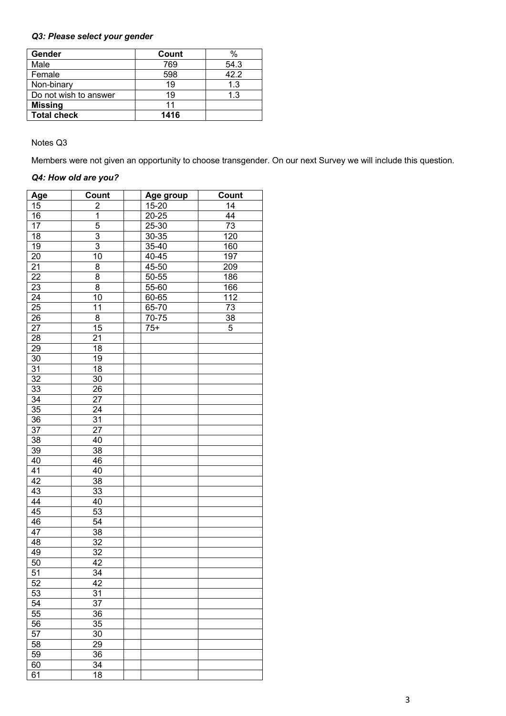# *Q3: Please select your gender*

| Gender                | Count | $\%$ |
|-----------------------|-------|------|
| Male                  | 769   | 54.3 |
| Female                | 598   | 42.2 |
| Non-binary            | 19    | 1.3  |
| Do not wish to answer | 19    | 1.3  |
| <b>Missing</b>        | 11    |      |
| <b>Total check</b>    | 1416  |      |

Notes Q3

Members were not given an opportunity to choose transgender. On our next Survey we will include this question.

### *Q4: How old are you?*

| <b>Age</b>      | Count          | Age group | Count |
|-----------------|----------------|-----------|-------|
| 15              | $\overline{c}$ | 15-20     | 14    |
| 16              | $\mathbf 1$    | 20-25     | 44    |
| 17              | 5              | 25-30     | 73    |
| 18              | 3              | 30-35     | 120   |
| 19              | $\overline{3}$ | 35-40     | 160   |
| 20              | 10             | 40-45     | 197   |
| 21              | 8              | 45-50     | 209   |
| 22              | 8              | 50-55     | 186   |
| 23              | 8              | 55-60     | 166   |
| $\overline{24}$ | 10             | 60-65     | 112   |
| 25              | 11             | 65-70     | 73    |
| 26              | 8              | 70-75     | 38    |
| 27              | 15             | $75+$     | 5     |
| 28              | 21             |           |       |
| 29              | 18             |           |       |
| 30              | 19             |           |       |
| 31              | 18             |           |       |
| 32              | 30             |           |       |
| 33              | 26             |           |       |
| 34              | 27             |           |       |
| 35              | 24             |           |       |
| 36              | 31             |           |       |
| 37              | 27             |           |       |
| 38              | 40             |           |       |
| 39              | 38             |           |       |
| 40              | 46             |           |       |
| 41              | 40             |           |       |
| 42              | 38             |           |       |
| 43              | 33             |           |       |
| 44              | 40             |           |       |
| 45              | 53             |           |       |
| 46              | 54             |           |       |
| 47              | 38             |           |       |
| 48              | 32             |           |       |
| 49              | 32             |           |       |
| 50              | 42             |           |       |
| 51              | 34             |           |       |
| 52              | 42             |           |       |
| $5\overline{3}$ | 31             |           |       |
| 54              | 37             |           |       |
| 55              | 36             |           |       |
| 56              | 35             |           |       |
| 57              | 30             |           |       |
| 58              | 29             |           |       |
| 59              | 36             |           |       |
| 60              | 34             |           |       |
| 61              | 18             |           |       |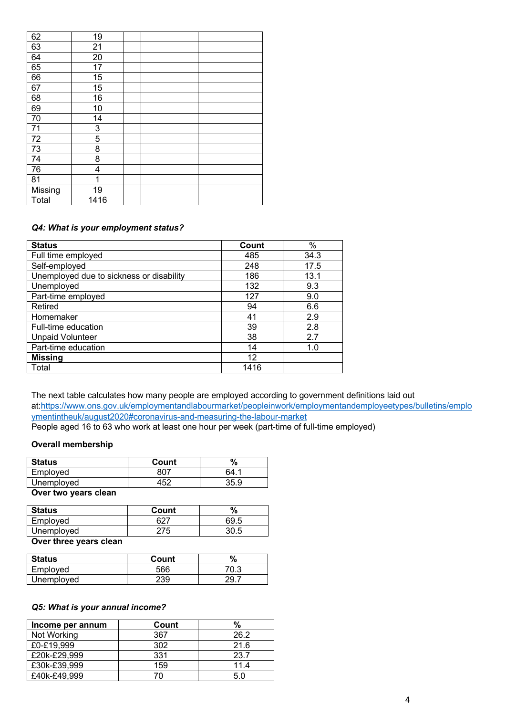| 62      | 19   |  |  |
|---------|------|--|--|
| 63      | 21   |  |  |
| 64      | 20   |  |  |
| 65      | 17   |  |  |
| 66      | 15   |  |  |
| 67      | 15   |  |  |
| 68      | 16   |  |  |
| 69      | 10   |  |  |
| 70      | 14   |  |  |
| 71      | 3    |  |  |
| 72      | 5    |  |  |
| 73      | 8    |  |  |
| 74      | 8    |  |  |
| 76      | 4    |  |  |
| 81      | 1    |  |  |
| Missing | 19   |  |  |
| Total   | 1416 |  |  |

### *Q4: What is your employment status?*

| <b>Status</b>                            | Count | $\%$ |
|------------------------------------------|-------|------|
| Full time employed                       | 485   | 34.3 |
| Self-employed                            | 248   | 17.5 |
| Unemployed due to sickness or disability | 186   | 13.1 |
| Unemployed                               | 132   | 9.3  |
| Part-time employed                       | 127   | 9.0  |
| Retired                                  | 94    | 6.6  |
| Homemaker                                | 41    | 2.9  |
| Full-time education                      | 39    | 2.8  |
| <b>Unpaid Volunteer</b>                  | 38    | 2.7  |
| Part-time education                      | 14    | 1.0  |
| <b>Missing</b>                           | 12    |      |
| Total                                    | 1416  |      |

The next table calculates how many people are employed according to government definitions laid out at:https://www.ons.gov.uk/employmentandlabourmarket/peopleinwork/employmentandemployeetypes/bulletins/emplo ymentintheuk/august2020#coronavirus-and-measuring-the-labour-market

People aged 16 to 63 who work at least one hour per week (part-time of full-time employed)

#### **Overall membership**

| <b>Status</b> | Count      | ℅    |
|---------------|------------|------|
| Employed      |            | RΔ   |
| Unemployed    | $45^\circ$ | 35.9 |

**Over two years clean**

| 69.5 |
|------|
| 30.5 |
|      |

#### **Over three years clean**

| <b>Status</b> | Count | %    |
|---------------|-------|------|
| Employed      | 566   | 70.3 |
| Unemployed    | 239   |      |

### *Q5: What is your annual income?*

| Income per annum | Count | %    |
|------------------|-------|------|
| Not Working      | 367   | 26.2 |
| £0-£19,999       | 302   | 21.6 |
| £20k-£29,999     | 331   | 23.7 |
| £30k-£39,999     | 159   | 11.4 |
| £40k-£49,999     |       | 5.0  |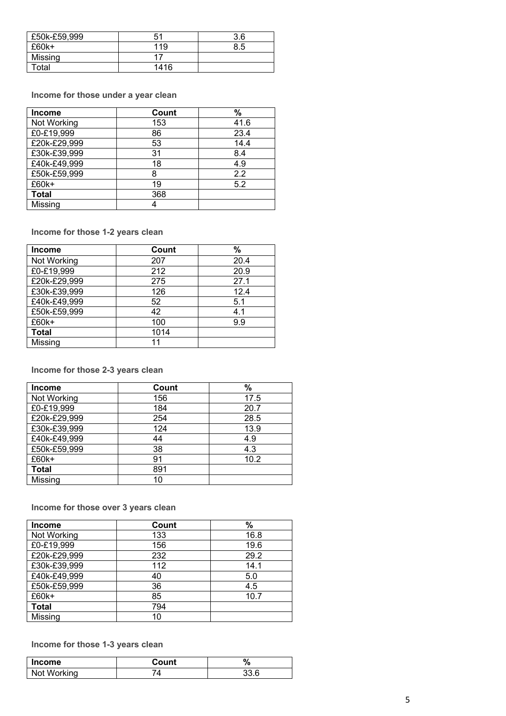| £50k-£59,999 | 51   | 3.6 |
|--------------|------|-----|
| $£60k+$      | 119  | 8.5 |
| Missing      |      |     |
| Гоtal        | 1416 |     |

**Income for those under a year clean**

| <b>Income</b> | Count | %    |
|---------------|-------|------|
| Not Working   | 153   | 41.6 |
| £0-£19,999    | 86    | 23.4 |
| £20k-£29,999  | 53    | 14.4 |
| £30k-£39,999  | 31    | 8.4  |
| £40k-£49,999  | 18    | 4.9  |
| £50k-£59,999  | 8     | 2.2  |
| £60k+         | 19    | 5.2  |
| <b>Total</b>  | 368   |      |
| Missing       |       |      |

**Income for those 1 -2 years clean**

| <b>Income</b> | Count | %    |
|---------------|-------|------|
| Not Working   | 207   | 20.4 |
| £0-£19,999    | 212   | 20.9 |
| £20k-£29,999  | 275   | 27.1 |
| £30k-£39,999  | 126   | 12.4 |
| £40k-£49,999  | 52    | 5.1  |
| £50k-£59,999  | 42    | 4.1  |
| £60k+         | 100   | 9.9  |
| <b>Total</b>  | 1014  |      |
| Missing       | 11    |      |

**Income for those 2 -3 years clean**

| Income       | Count | %    |
|--------------|-------|------|
| Not Working  | 156   | 17.5 |
| £0-£19,999   | 184   | 20.7 |
| £20k-£29,999 | 254   | 28.5 |
| £30k-£39,999 | 124   | 13.9 |
| £40k-£49,999 | 44    | 4.9  |
| £50k-£59,999 | 38    | 4.3  |
| £60k+        | 91    | 10.2 |
| <b>Total</b> | 891   |      |
| Missing      | 10    |      |

**Income for those over 3 years clean**

| <b>Income</b> | Count | %    |
|---------------|-------|------|
| Not Working   | 133   | 16.8 |
| £0-£19,999    | 156   | 19.6 |
| £20k-£29,999  | 232   | 29.2 |
| £30k-£39,999  | 112   | 14.1 |
| £40k-£49,999  | 40    | 5.0  |
| £50k-£59,999  | 36    | 4.5  |
| £60k+         | 85    | 10.7 |
| <b>Total</b>  | 794   |      |
| Missing       | 10    |      |

#### **Income for those 1 -3 years clean**

| <b>Income</b> | Count | % |
|---------------|-------|---|
| Not Working   |       |   |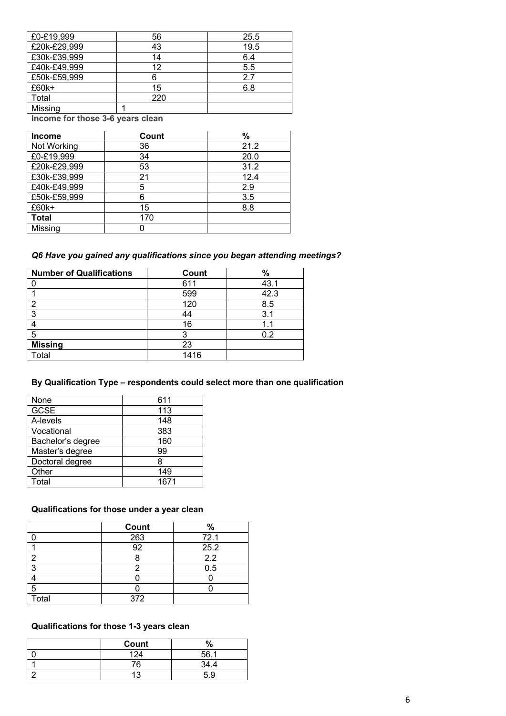| £0-£19,999   | 56  | 25.5 |
|--------------|-----|------|
| £20k-£29,999 | 43  | 19.5 |
| £30k-£39,999 | 14  | 6.4  |
| £40k-£49,999 | 12  | 5.5  |
| £50k-£59,999 | 6   | 2.7  |
| £60k+        | 15  | 6.8  |
| Total        | 220 |      |
| Missing      |     |      |

**Income for those 3-6 years clean**

| <b>Income</b> | Count | %    |
|---------------|-------|------|
| Not Working   | 36    | 21.2 |
| £0-£19,999    | 34    | 20.0 |
| £20k-£29,999  | 53    | 31.2 |
| £30k-£39,999  | 21    | 12.4 |
| £40k-£49,999  | 5     | 2.9  |
| £50k-£59,999  | 6     | 3.5  |
| £60k+         | 15    | 8.8  |
| <b>Total</b>  | 170   |      |
| Missing       |       |      |

# *Q6 Have you gained any qualifications since you began attending meetings?*

| <b>Number of Qualifications</b> | Count | %    |
|---------------------------------|-------|------|
|                                 | 611   | 43.1 |
|                                 | 599   | 42.3 |
|                                 | 120   | 8.5  |
| ◠                               | 44    | 3.1  |
|                                 | 16    |      |
| 5                               |       | 0.2  |
| <b>Missing</b>                  | 23    |      |
| <b>Total</b>                    | 1416  |      |

# **By Qualification Type – respondents could select more than one qualification**

| None              | 611  |
|-------------------|------|
| <b>GCSE</b>       | 113  |
| A-levels          | 148  |
| Vocational        | 383  |
| Bachelor's degree | 160  |
| Master's degree   | 99   |
| Doctoral degree   | 8    |
| Other             | 149  |
| Total             | 1671 |

## **Qualifications for those under a year clean**

|       | Count | %                |
|-------|-------|------------------|
|       | 263   | 72.1             |
|       | 92    | 25.2             |
| ີ     |       | $\overline{2.2}$ |
| ∍     |       | 0.5              |
|       |       |                  |
| 5     |       |                  |
| Total | 372   |                  |

# **Qualifications for those 1-3 years clean**

| Count |     |
|-------|-----|
|       | EG. |
| 76.   | ۰., |
|       | 5.9 |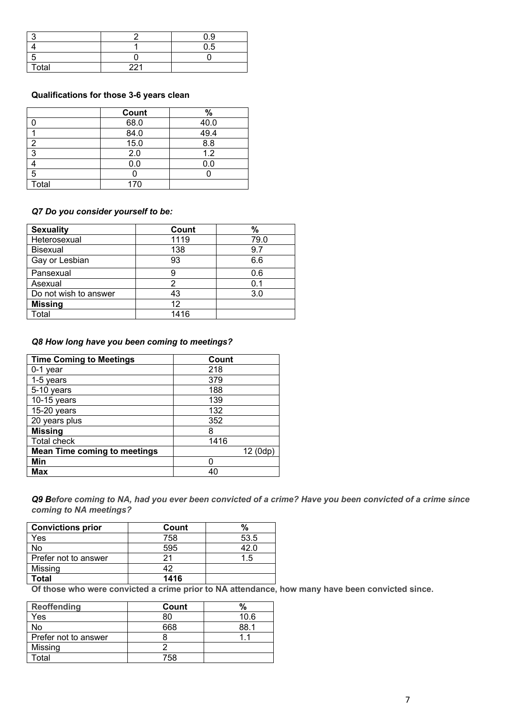|       |     | 0.9 |
|-------|-----|-----|
|       |     | 0.5 |
|       |     |     |
| Total | 221 |     |

### **Qualifications for those 3-6 years clean**

|       | Count | $\%$ |
|-------|-------|------|
|       | 68.0  | 40.0 |
|       | 84.0  | 49.4 |
| 2     | 15.0  | 8.8  |
| 3     | 2.0   | 1.2  |
|       | 0.0   | 0.0  |
| 5     |       |      |
| Total | 170   |      |

### *Q7 Do you consider yourself to be:*

| <b>Sexuality</b>      | Count | %    |
|-----------------------|-------|------|
| Heterosexual          | 1119  | 79.0 |
| <b>Bisexual</b>       | 138   | 9.7  |
| Gay or Lesbian        | 93    | 6.6  |
| Pansexual             | 9     | 0.6  |
| Asexual               |       | 0.1  |
| Do not wish to answer | 43    | 3.0  |
| <b>Missing</b>        | 12    |      |
| Гоtal                 | 1416  |      |

### *Q8 How long have you been coming to meetings?*

| <b>Time Coming to Meetings</b>      | Count   |
|-------------------------------------|---------|
| 0-1 year                            | 218     |
| 1-5 years                           | 379     |
| 5-10 years                          | 188     |
| $\overline{10}$ -15 years           | 139     |
| $15-20$ years                       | 132     |
| 20 years plus                       | 352     |
| <b>Missing</b>                      | 8       |
| <b>Total check</b>                  | 1416    |
| <b>Mean Time coming to meetings</b> | 12 (0dp |
| Min                                 |         |
| <b>Max</b>                          | 40      |

*Q9 Before coming to NA, had you ever been convicted of a crime? Have you been convicted of a crime since coming to NA meetings?*

| <b>Convictions prior</b> | Count | %    |
|--------------------------|-------|------|
| Yes                      | 758   | 53.5 |
| No                       | 595   | 42.0 |
| Prefer not to answer     |       | 1.5  |
| Missing                  | 42    |      |
| Total                    | 1416  |      |

**Of those who were convicted a crime prior to NA attendance, how many have been convicted since.**

| Reoffending          | Count |      |
|----------------------|-------|------|
| Yes                  |       | 10.6 |
| No                   | 668   | ९८   |
| Prefer not to answer |       |      |
| Missing              |       |      |
| otal                 | 758   |      |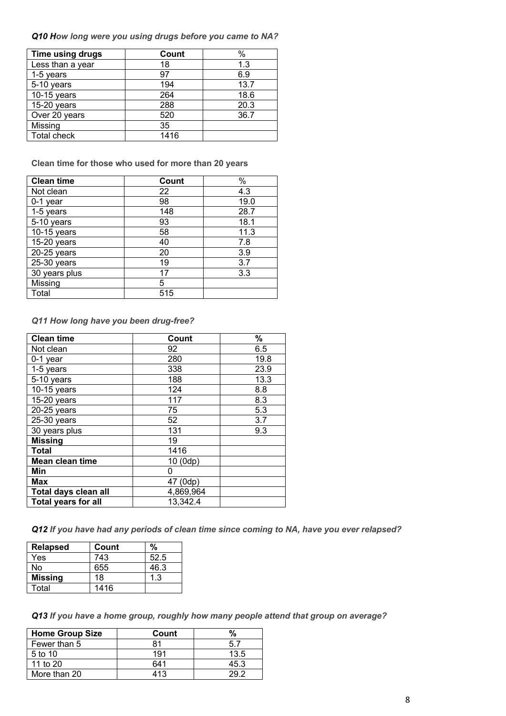*Q10 How long were you using drugs before you came to NA?*

| Time using drugs   | Count | $\%$ |
|--------------------|-------|------|
| Less than a year   | 18    | 1.3  |
| 1-5 years          | 97    | 6.9  |
| 5-10 years         | 194   | 13.7 |
| $10-15$ years      | 264   | 18.6 |
| 15-20 years        | 288   | 20.3 |
| Over 20 years      | 520   | 36.7 |
| Missing            | 35    |      |
| <b>Total check</b> | 1416  |      |

**Clean time for those who used for more than 20 years**

| <b>Clean time</b> | Count | $\%$ |
|-------------------|-------|------|
| Not clean         | 22    | 4.3  |
| 0-1 year          | 98    | 19.0 |
| 1-5 years         | 148   | 28.7 |
| 5-10 years        | 93    | 18.1 |
| 10-15 years       | 58    | 11.3 |
| 15-20 years       | 40    | 7.8  |
| $20-25$ years     | 20    | 3.9  |
| 25-30 years       | 19    | 3.7  |
| 30 years plus     | 17    | 3.3  |
| Missing           | 5     |      |
| Total             | 515   |      |

### *Q11 How long have you been drug-free?*

| <b>Clean time</b>          | Count     | %    |
|----------------------------|-----------|------|
| Not clean                  | 92        | 6.5  |
| 0-1 year                   | 280       | 19.8 |
| 1-5 years                  | 338       | 23.9 |
| 5-10 years                 | 188       | 13.3 |
| 10-15 years                | 124       | 8.8  |
| $15-20$ years              | 117       | 8.3  |
| 20-25 years                | 75        | 5.3  |
| 25-30 years                | 52        | 3.7  |
| 30 years plus              | 131       | 9.3  |
| <b>Missing</b>             | 19        |      |
| <b>Total</b>               | 1416      |      |
| Mean clean time            | 10 (0dp)  |      |
| Min                        | 0         |      |
| <b>Max</b>                 | 47 (0dp)  |      |
| Total days clean all       | 4,869,964 |      |
| <b>Total years for all</b> | 13,342.4  |      |

*Q12 If you have had any periods of clean time since coming to NA, have you ever relapsed?*

| <b>Relapsed</b> | Count | %    |
|-----------------|-------|------|
| Yes             | 743   | 52.5 |
| No              | 655   | 46.3 |
| <b>Missing</b>  | 18    | 1.3  |
| Total           | 1416  |      |

*Q13 If you have a home group, roughly how many people attend that group on average?*

| <b>Home Group Size</b> | Count |      |
|------------------------|-------|------|
| Fewer than 5           |       | 57   |
| 5 <sub>to</sub> 10     | 191   | 13.5 |
| 11 to $20$             | 641   | 45.3 |
| More than 20           | 413   |      |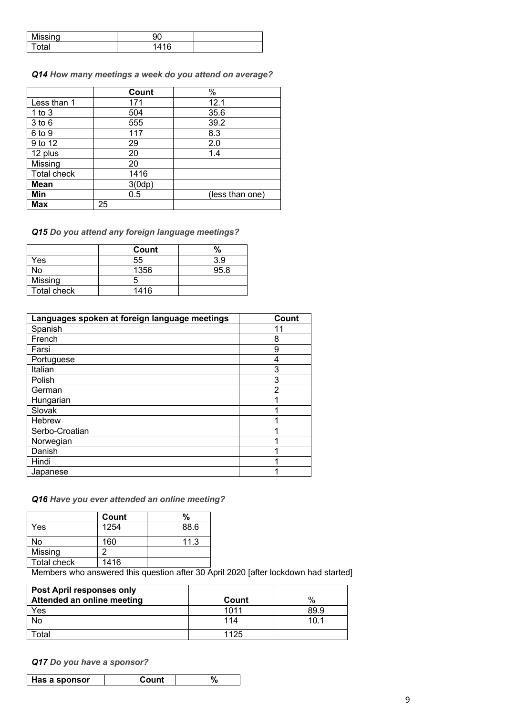| Mis<br>liccina        |                           |  |
|-----------------------|---------------------------|--|
| $\lambda$ tok<br>'lai | $\overline{AB}$<br>Λ<br>J |  |

*Q14 How many meetings a week do you attend on average?*

|             | Count  | %               |
|-------------|--------|-----------------|
| Less than 1 | 171    | 12.1            |
| $1$ to $3$  | 504    | 35.6            |
| $3$ to $6$  | 555    | 39.2            |
| 6 to 9      | 117    | 8.3             |
| 9 to 12     | 29     | 2.0             |
| 12 plus     | 20     | 1.4             |
| Missing     | 20     |                 |
| Total check | 1416   |                 |
| <b>Mean</b> | 3(0dp) |                 |
| Min         | 0.5    | (less than one) |
| <b>Max</b>  | 25     |                 |

*Q15 Do you attend any foreign language meetings?*

|             | Count | %    |
|-------------|-------|------|
| Yes         | 55    | 3.9  |
| No          | 1356  | 95.8 |
| Missing     |       |      |
| Total check | 1416  |      |

| Languages spoken at foreign language meetings | Count          |
|-----------------------------------------------|----------------|
| Spanish                                       | 11             |
| French                                        | 8              |
| Farsi                                         | 9              |
| Portuguese                                    | 4              |
| Italian                                       | 3              |
| Polish                                        | 3              |
| German                                        | $\mathfrak{p}$ |
| Hungarian                                     |                |
| Slovak                                        |                |
| Hebrew                                        |                |
| Serbo-Croatian                                |                |
| Norwegian                                     |                |
| Danish                                        |                |
| Hindi                                         |                |
| Japanese                                      |                |

### *Q16 Have you ever attended an online meeting?*

|                    | Count | %           |
|--------------------|-------|-------------|
| Yes                | 1254  | 88.6        |
| No                 | 160   | 11.3        |
| Missing            |       |             |
| <b>Total check</b> | 1416  |             |
| _ _                | .     | $\sim$<br>. |

Members who answered this question after 30 April 2020 [after lockdown had started]

| <b>Post April responses only</b> |       |        |
|----------------------------------|-------|--------|
| Attended an online meeting       | Count | $\%$   |
| Yes                              | 1011  | 89.9   |
| <b>No</b>                        | 114   | 10 $1$ |
| Total                            | 1125  |        |

*Q17 Do you have a sponsor?*

| Has a sponsor | Count |  |
|---------------|-------|--|
|               |       |  |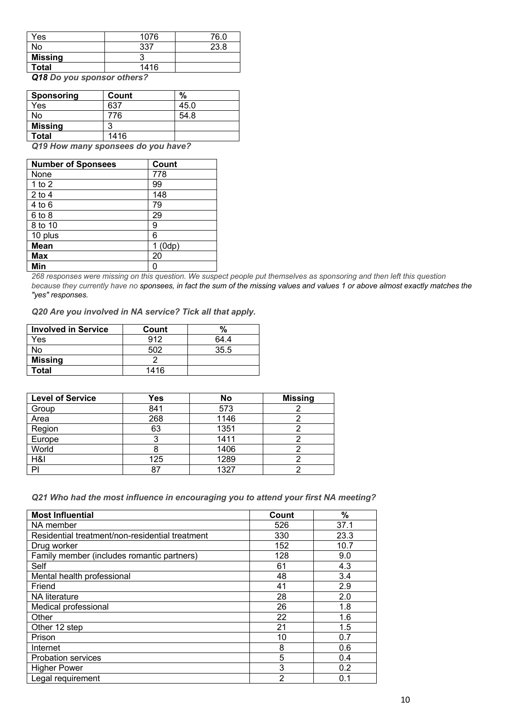| Yes            | 1076 | 76.0 |
|----------------|------|------|
| No             | -337 | 23.8 |
| <b>Missing</b> |      |      |
| <b>Total</b>   | 1416 |      |

*Q18 Do you sponsor others?*

| <b>Sponsoring</b> | Count | %    |
|-------------------|-------|------|
| Yes               | 637   | 45.0 |
| No                | 776   | 54.8 |
| <b>Missing</b>    | ◠     |      |
| Total             | 1416  |      |

*Q19 How many sponsees do you have?*

| <b>Number of Sponsees</b> | Count |
|---------------------------|-------|
| None                      | 778   |
| 1 to $2$                  | 99    |
| $2$ to 4                  | 148   |
| 4 to 6                    | 79    |
| $6$ to $8$                | 29    |
| 8 to 10                   | 9     |
| 10 plus                   | 6     |
| <b>Mean</b>               | (0dp) |
| <b>Max</b>                | 20    |
| Min                       | ი     |

*268 responses were missing on this question. We suspect people put themselves as sponsoring and then left this question because they currently have no sponsees, in fact the sum of the missing values and values 1 or above almost exactly matches the "yes" responses.*

*Q20 Are you involved in NA service? Tick all that apply.* 

| <b>Involved in Service</b> | Count |      |
|----------------------------|-------|------|
| Yes                        | 912   | 64 4 |
| No                         | 502   | 35.5 |
| <b>Missing</b>             |       |      |
| Total                      | 1416  |      |

| <b>Level of Service</b> | Yes | No   | <b>Missing</b> |
|-------------------------|-----|------|----------------|
| Group                   | 841 | 573  |                |
| Area                    | 268 | 1146 |                |
| Region                  | 63  | 1351 |                |
| Europe                  |     | 1411 |                |
| World                   |     | 1406 |                |
| H&I                     | 125 | 1289 |                |
| PI                      | -87 | 1327 |                |

*Q21 Who had the most influence in encouraging you to attend your first NA meeting?*

| <b>Most Influential</b>                         | Count | %    |
|-------------------------------------------------|-------|------|
| NA member                                       | 526   | 37.1 |
| Residential treatment/non-residential treatment | 330   | 23.3 |
| Drug worker                                     | 152   | 10.7 |
| Family member (includes romantic partners)      | 128   | 9.0  |
| Self                                            | 61    | 4.3  |
| Mental health professional                      | 48    | 3.4  |
| Friend                                          | 41    | 2.9  |
| <b>NA</b> literature                            | 28    | 2.0  |
| Medical professional                            | 26    | 1.8  |
| Other                                           | 22    | 1.6  |
| Other 12 step                                   | 21    | 1.5  |
| Prison                                          | 10    | 0.7  |
| Internet                                        | 8     | 0.6  |
| <b>Probation services</b>                       | 5     | 0.4  |
| <b>Higher Power</b>                             | 3     | 0.2  |
| Legal requirement                               | 2     | 0.1  |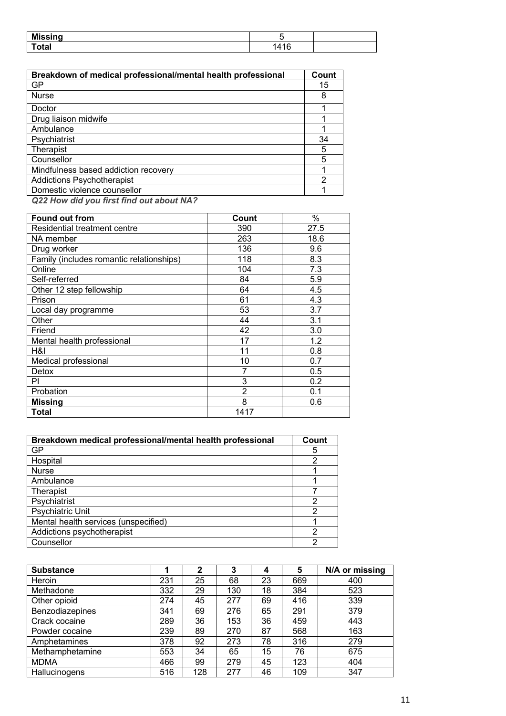| Mi           |   |  |
|--------------|---|--|
| ----<br>υιαι | ╭ |  |

| Breakdown of medical professional/mental health professional | Count |
|--------------------------------------------------------------|-------|
| GP                                                           | 15    |
| <b>Nurse</b>                                                 | 8     |
| Doctor                                                       |       |
| Drug liaison midwife                                         |       |
| Ambulance                                                    |       |
| Psychiatrist                                                 | 34    |
| Therapist                                                    | 5     |
| Counsellor                                                   | 5     |
| Mindfulness based addiction recovery                         |       |
| <b>Addictions Psychotherapist</b>                            | 2     |
| Domestic violence counsellor                                 |       |

*Q22 How did you first find out about NA?*

| <b>Found out from</b>                    | Count          | $\%$ |
|------------------------------------------|----------------|------|
| Residential treatment centre             | 390            | 27.5 |
| NA member                                | 263            | 18.6 |
| Drug worker                              | 136            | 9.6  |
| Family (includes romantic relationships) | 118            | 8.3  |
| Online                                   | 104            | 7.3  |
| Self-referred                            | 84             | 5.9  |
| Other 12 step fellowship                 | 64             | 4.5  |
| Prison                                   | 61             | 4.3  |
| Local day programme                      | 53             | 3.7  |
| Other                                    | 44             | 3.1  |
| Friend                                   | 42             | 3.0  |
| Mental health professional               | 17             | 1.2  |
| H&I                                      | 11             | 0.8  |
| Medical professional                     | 10             | 0.7  |
| Detox                                    | 7              | 0.5  |
| PI                                       | 3              | 0.2  |
| Probation                                | $\overline{2}$ | 0.1  |
| <b>Missing</b>                           | 8              | 0.6  |
| Total                                    | 1417           |      |

| Breakdown medical professional/mental health professional | Count |
|-----------------------------------------------------------|-------|
| GP                                                        | 5     |
| Hospital                                                  |       |
| <b>Nurse</b>                                              |       |
| Ambulance                                                 |       |
| Therapist                                                 |       |
| Psychiatrist                                              | ົ     |
| <b>Psychiatric Unit</b>                                   | າ     |
| Mental health services (unspecified)                      |       |
| Addictions psychotherapist                                |       |
| Counsellor                                                |       |

| <b>Substance</b> |     | $\mathbf{2}$ | 3   | 4  | 5   | N/A or missing |
|------------------|-----|--------------|-----|----|-----|----------------|
| Heroin           | 231 | 25           | 68  | 23 | 669 | 400            |
| Methadone        | 332 | 29           | 130 | 18 | 384 | 523            |
| Other opioid     | 274 | 45           | 277 | 69 | 416 | 339            |
| Benzodiazepines  | 341 | 69           | 276 | 65 | 291 | 379            |
| Crack cocaine    | 289 | 36           | 153 | 36 | 459 | 443            |
| Powder cocaine   | 239 | 89           | 270 | 87 | 568 | 163            |
| Amphetamines     | 378 | 92           | 273 | 78 | 316 | 279            |
| Methamphetamine  | 553 | 34           | 65  | 15 | 76  | 675            |
| <b>MDMA</b>      | 466 | 99           | 279 | 45 | 123 | 404            |
| Hallucinogens    | 516 | 128          | 277 | 46 | 109 | 347            |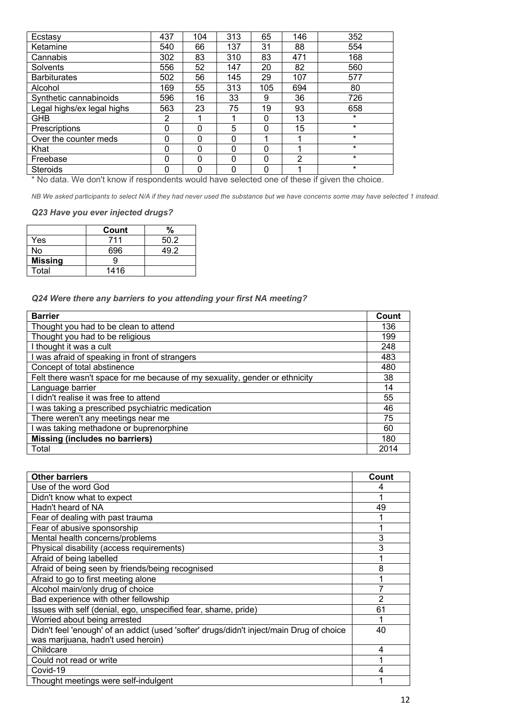| Ecstasy                    | 437         | 104      | 313      | 65       | 146            | 352     |
|----------------------------|-------------|----------|----------|----------|----------------|---------|
| Ketamine                   | 540         | 66       | 137      | 31       | 88             | 554     |
| Cannabis                   | 302         | 83       | 310      | 83       | 471            | 168     |
| Solvents                   | 556         | 52       | 147      | 20       | 82             | 560     |
| <b>Barbiturates</b>        | 502         | 56       | 145      | 29       | 107            | 577     |
| Alcohol                    | 169         | 55       | 313      | 105      | 694            | 80      |
| Synthetic cannabinoids     | 596         | 16       | 33       | 9        | 36             | 726     |
| Legal highs/ex legal highs | 563         | 23       | 75       | 19       | 93             | 658     |
| <b>GHB</b>                 | 2           |          |          | $\Omega$ | 13             | $\star$ |
| Prescriptions              | $\Omega$    | 0        | 5        | 0        | 15             | $\star$ |
| Over the counter meds      | $\Omega$    | $\Omega$ | $\Omega$ |          |                | $\star$ |
| Khat                       | $\mathbf 0$ | 0        | $\Omega$ | 0        |                | $\star$ |
| Freebase                   | $\Omega$    | 0        | $\Omega$ | 0        | $\overline{2}$ | $\star$ |
| <b>Steroids</b>            | $\Omega$    | 0        | $\Omega$ | 0        | ◢              | $\star$ |

\* No data. We don't know if respondents would have selected one of these if given the choice.

*NB We asked participants to select N/A if they had never used the substance but we have concerns some may have selected 1 instead.*

### *Q23 Have you ever injected drugs?*

|                | Count | $\%$ |
|----------------|-------|------|
| Yes            | 711   | 50.2 |
| No             | 696   | ר סו |
| <b>Missing</b> |       |      |
| Total          | 1416  |      |

*Q24 Were there any barriers to you attending your first NA meeting?*

| <b>Barrier</b>                                                              | Count |
|-----------------------------------------------------------------------------|-------|
| Thought you had to be clean to attend                                       | 136   |
| Thought you had to be religious                                             | 199   |
| I thought it was a cult                                                     | 248   |
| I was afraid of speaking in front of strangers                              | 483   |
| Concept of total abstinence                                                 | 480   |
| Felt there wasn't space for me because of my sexuality, gender or ethnicity | 38    |
| Language barrier                                                            | 14    |
| I didn't realise it was free to attend                                      | 55    |
| I was taking a prescribed psychiatric medication                            | 46    |
| There weren't any meetings near me                                          | 75    |
| I was taking methadone or buprenorphine                                     | 60    |
| <b>Missing (includes no barriers)</b>                                       | 180   |
| Total                                                                       | 2014  |

| <b>Other barriers</b>                                                                    | Count          |
|------------------------------------------------------------------------------------------|----------------|
| Use of the word God                                                                      | 4              |
| Didn't know what to expect                                                               |                |
| Hadn't heard of NA                                                                       | 49             |
| Fear of dealing with past trauma                                                         |                |
| Fear of abusive sponsorship                                                              |                |
| Mental health concerns/problems                                                          | 3              |
| Physical disability (access requirements)                                                | 3              |
| Afraid of being labelled                                                                 |                |
| Afraid of being seen by friends/being recognised                                         | 8              |
| Afraid to go to first meeting alone                                                      |                |
| Alcohol main/only drug of choice                                                         |                |
| Bad experience with other fellowship                                                     | $\overline{2}$ |
| Issues with self (denial, ego, unspecified fear, shame, pride)                           | 61             |
| Worried about being arrested                                                             |                |
| Didn't feel 'enough' of an addict (used 'softer' drugs/didn't inject/main Drug of choice | 40             |
| was marijuana, hadn't used heroin)                                                       |                |
| Childcare                                                                                | 4              |
| Could not read or write                                                                  |                |
| Covid-19                                                                                 | 4              |
| Thought meetings were self-indulgent                                                     |                |